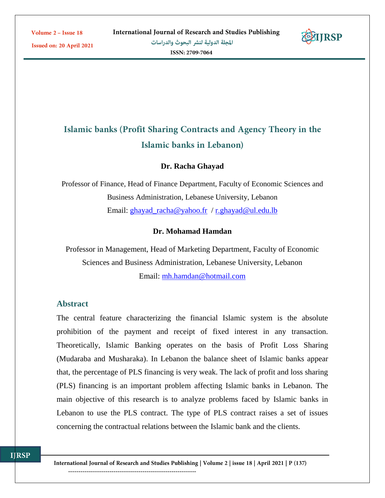Issued on: 20 April 2021



# Islamic banks (Profit Sharing Contracts and Agency Theory in the Islamic banks in Lebanon)

### **Dr. Racha Ghayad**

Professor of Finance, Head of Finance Department, Faculty of Economic Sciences and Business Administration, Lebanese University, Lebanon Email: [ghayad\\_racha@yahoo.fr](mailto:ghayad_racha@yahoo.fr) / [r.ghayad@ul.edu.lb](mailto:r.ghayad@ul.edu.lb)

### **Dr. Mohamad Hamdan**

Professor in Management, Head of Marketing Department, Faculty of Economic Sciences and Business Administration, Lebanese University, Lebanon Email: [mh.hamdan@hotmail.com](mailto:mh.hamdan@hotmail.com)

#### **Abstract**

The central feature characterizing the financial Islamic system is the absolute prohibition of the payment and receipt of fixed interest in any transaction. Theoretically, Islamic Banking operates on the basis of Profit Loss Sharing (Mudaraba and Musharaka). In Lebanon the balance sheet of Islamic banks appear that, the percentage of PLS financing is very weak. The lack of profit and loss sharing (PLS) financing is an important problem affecting Islamic banks in Lebanon. The main objective of this research is to analyze problems faced by Islamic banks in Lebanon to use the PLS contract. The type of PLS contract raises a set of issues concerning the contractual relations between the Islamic bank and the clients.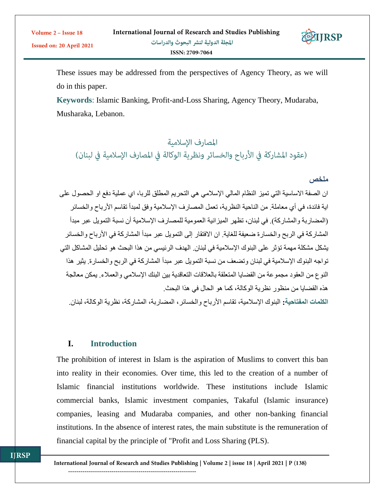

These issues may be addressed from the perspectives of Agency Theory, as we will do in this paper.

**Keywords**: Islamic Banking, Profit-and-Loss Sharing, Agency Theory, Mudaraba, Musharaka, Lebanon.

المصارف الإسلامية (عقود المشاركة في الأرباح والخسائر ونظرية الوكالة في المصارف الإسلامية في لبنان)

# **ملخص**

ان الصفة الاساسية التي تميز النظام المالي الإسلامي هي التحريم المطلق للربا، اي عملية دفع او الحصول على اية فائدة، في أي معاملة<sub>.</sub> من الناحية النظرية، تعمل المصارف الإسلامية وفق لمبدأ تقاسم الأرباح والخسائر (المضاربة والمشاركة) في لبنان، تظهر الميزانية العمومية للمصارف الإسلامية أن نسبة التمويل عبر مبدأ المشاركة في الربح والخسارة ضعيفة للغاية. ان االفتقار إلى التمويل عبر مبدأ المشاركة في األرباح والخسائر يشكل مشكلة مهمة تؤثر على البنوك اإلسالمية في لبنان. الهدف الرئيسي من هذا البحث هو تحليل المشاكل التي تواجه البنوك اإلسالمية في لبنان وتضعف من نسبة التمويل عبر مبدأ المشاركة في الربح والخسارة. يثير هذا النوع من العقود مجموعة من القضايا المتعلقة بالعالقات التعاقدية بين البنك اإلسالمي والعمالء. يمكن معالجة هذه القضايا من منظور نظرية الوكالة، كما هو الحال في هذا البحث. **الكلمات المفتاحية:** البنوك اإلسالمية، تقاسم األرباح والخسائر، المضاربة، المشاركة، نظرية الوكالة، لبنان.

# **I. Introduction**

The prohibition of interest in Islam is the aspiration of Muslims to convert this ban into reality in their economies. Over time, this led to the creation of a number of Islamic financial institutions worldwide. These institutions include Islamic commercial banks, Islamic investment companies, Takaful (Islamic insurance) companies, leasing and Mudaraba companies, and other non-banking financial institutions. In the absence of interest rates, the main substitute is the remuneration of financial capital by the principle of "Profit and Loss Sharing (PLS).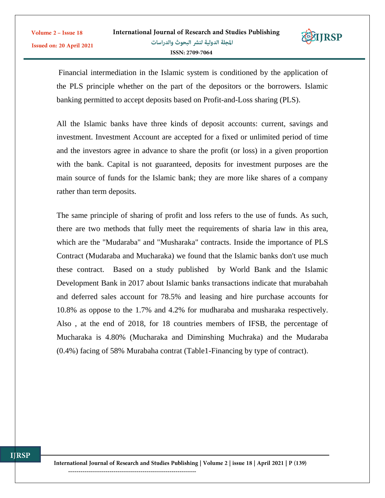

Financial intermediation in the Islamic system is conditioned by the application of the PLS principle whether on the part of the depositors or the borrowers. Islamic banking permitted to accept deposits based on Profit-and-Loss sharing (PLS).

All the Islamic banks have three kinds of deposit accounts: current, savings and investment. Investment Account are accepted for a fixed or unlimited period of time and the investors agree in advance to share the profit (or loss) in a given proportion with the bank. Capital is not guaranteed, deposits for investment purposes are the main source of funds for the Islamic bank; they are more like shares of a company rather than term deposits.

The same principle of sharing of profit and loss refers to the use of funds. As such, there are two methods that fully meet the requirements of sharia law in this area, which are the "Mudaraba" and "Musharaka" contracts. Inside the importance of PLS Contract (Mudaraba and Mucharaka) we found that the Islamic banks don't use much these contract. Based on a study published by World Bank and the Islamic Development Bank in 2017 about Islamic banks transactions indicate that murabahah and deferred sales account for 78.5% and leasing and hire purchase accounts for 10.8% as oppose to the 1.7% and 4.2% for mudharaba and musharaka respectively. Also , at the end of 2018, for 18 countries members of IFSB, the percentage of Mucharaka is 4.80% (Mucharaka and Diminshing Muchraka) and the Mudaraba (0.4%) facing of 58% Murabaha contrat (Table1-Financing by type of contract).

Volume 2 - Issue 18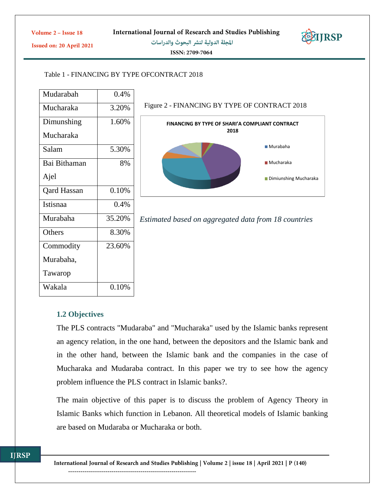

Issued on: 20 April 2021

المجلة الدولية لنشر البحوث والدراسات

ISSN: 2709-7064

### Table 1 - FINANCING BY TYPE OFCONTRACT 2018

| Mudarabah          | 0.4%   |
|--------------------|--------|
| Mucharaka          | 3.20%  |
| Dimunshing         | 1.60%  |
| Mucharaka          |        |
| Salam              | 5.30%  |
| Bai Bithaman       | 8%     |
| Ajel               |        |
| <b>Qard Hassan</b> | 0.10%  |
| Istisnaa           | 0.4%   |
| Murabaha           | 35.20% |
| Others             | 8.30%  |
| Commodity          | 23.60% |
| Murabaha,          |        |
| Tawarop            |        |
| Wakala             | 0.10%  |

#### Figure 2 - FINANCING BY TYPE OF CONTRACT 2018





# **1.2 Objectives**

The PLS contracts "Mudaraba" and "Mucharaka" used by the Islamic banks represent an agency relation, in the one hand, between the depositors and the Islamic bank and in the other hand, between the Islamic bank and the companies in the case of Mucharaka and Mudaraba contract. In this paper we try to see how the agency problem influence the PLS contract in Islamic banks?.

The main objective of this paper is to discuss the problem of Agency Theory in Islamic Banks which function in Lebanon. All theoretical models of Islamic banking are based on Mudaraba or Mucharaka or both.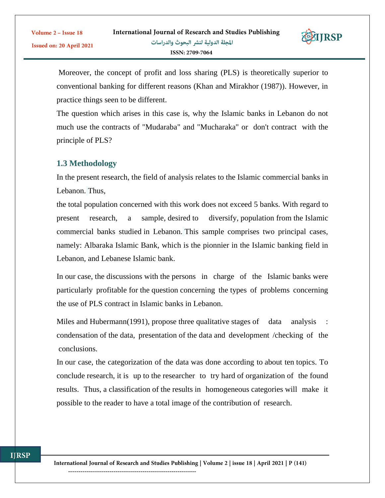

Moreover, the concept of profit and loss sharing (PLS) is theoretically superior to

conventional banking for different reasons (Khan and Mirakhor (1987)). However, in practice things seen to be different.

The question which arises in this case is, why the Islamic banks in Lebanon do not much use the contracts of "Mudaraba" and "Mucharaka" or don't contract with the principle of PLS?

# **1.3 Methodology**

Volume 2 - Issue 18

Issued on: 20 April 2021

In the present research, the field of analysis relates to the Islamic commercial banks in Lebanon. Thus,

the total population concerned with this work does not exceed 5 banks. With regard to present research, a sample, desired to diversify, population from the Islamic commercial banks studied in Lebanon. This sample comprises two principal cases, namely: Albaraka Islamic Bank, which is the pionnier in the Islamic banking field in Lebanon, and Lebanese Islamic bank.

In our case, the discussions with the persons in charge of the Islamic banks were particularly profitable for the question concerning the types of problems concerning the use of PLS contract in Islamic banks in Lebanon.

Miles and Hubermann(1991), propose three qualitative stages of data analysis condensation of the data, presentation of the data and development /checking of the conclusions.

In our case, the categorization of the data was done according to about ten topics. To conclude research, it is up to the researcher to try hard of organization of the found results. Thus, a classification of the results in homogeneous categories will make it possible to the reader to have a total image of the contribution of research.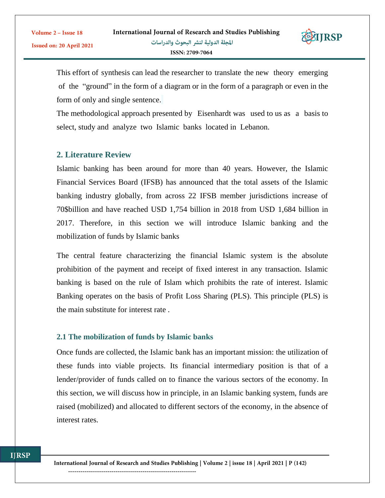

This effort of synthesis can lead the researcher to translate the new theory emerging of the "ground" in the form of a diagram or in the form of a paragraph or even in the form of only and single sentence.

The methodological approach presented by Eisenhardt was used to us as a basis to select, study and analyze two Islamic banks located in Lebanon.

# **2. Literature Review**

Islamic banking has been around for more than 40 years. However, the Islamic Financial Services Board (IFSB) has announced that the total assets of the Islamic banking industry globally, from across 22 IFSB member jurisdictions increase of 70\$billion and have reached USD 1,754 billion in 2018 from USD 1,684 billion in 2017. Therefore, in this section we will introduce Islamic banking and the mobilization of funds by Islamic banks

The central feature characterizing the financial Islamic system is the absolute prohibition of the payment and receipt of fixed interest in any transaction. Islamic banking is based on the rule of Islam which prohibits the rate of interest. Islamic Banking operates on the basis of Profit Loss Sharing (PLS). This principle (PLS) is the main substitute for interest rate .

### **2.1 The mobilization of funds by Islamic banks**

Once funds are collected, the Islamic bank has an important mission: the utilization of these funds into viable projects. Its financial intermediary position is that of a lender/provider of funds called on to finance the various sectors of the economy. In this section, we will discuss how in principle, in an Islamic banking system, funds are raised (mobilized) and allocated to different sectors of the economy, in the absence of interest rates.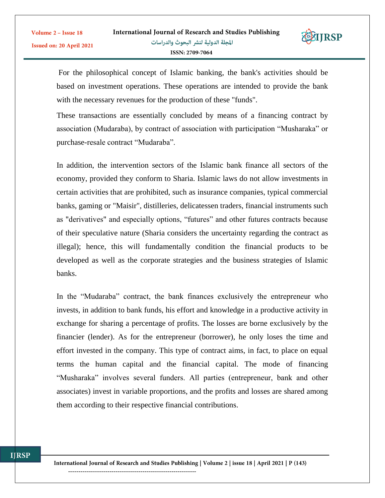

For the philosophical concept of Islamic banking, the bank's activities should be based on investment operations. These operations are intended to provide the bank with the necessary revenues for the production of these "funds".

These transactions are essentially concluded by means of a financing contract by association (Mudaraba), by contract of association with participation "Musharaka" or purchase-resale contract "Mudaraba".

In addition, the intervention sectors of the Islamic bank finance all sectors of the economy, provided they conform to Sharia. Islamic laws do not allow investments in certain activities that are prohibited, such as insurance companies, typical commercial banks, gaming or "Maisir", distilleries, delicatessen traders, financial instruments such as "derivatives" and especially options, "futures" and other futures contracts because of their speculative nature (Sharia considers the uncertainty regarding the contract as illegal); hence, this will fundamentally condition the financial products to be developed as well as the corporate strategies and the business strategies of Islamic banks.

In the "Mudaraba" contract, the bank finances exclusively the entrepreneur who invests, in addition to bank funds, his effort and knowledge in a productive activity in exchange for sharing a percentage of profits. The losses are borne exclusively by the financier (lender). As for the entrepreneur (borrower), he only loses the time and effort invested in the company. This type of contract aims, in fact, to place on equal terms the human capital and the financial capital. The mode of financing "Musharaka" involves several funders. All parties (entrepreneur, bank and other associates) invest in variable proportions, and the profits and losses are shared among them according to their respective financial contributions.

Volume 2 - Issue 18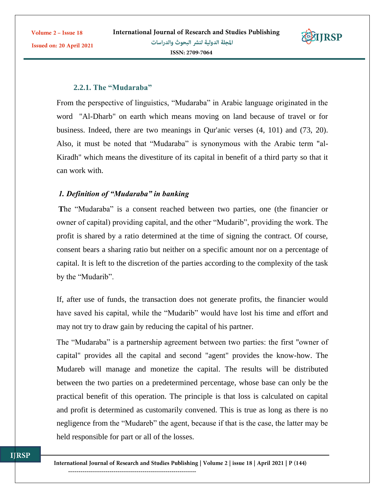Volume 2 - Issue 18

Issued on: 20 April 2021



### **2.2.1. The "Mudaraba"**

From the perspective of linguistics, "Mudaraba" in Arabic language originated in the word "Al-Dharb" on earth which means moving on land because of travel or for business. Indeed, there are two meanings in Qur'anic verses (4, 101) and (73, 20). Also, it must be noted that "Mudaraba" is synonymous with the Arabic term "al-Kiradh" which means the divestiture of its capital in benefit of a third party so that it can work with.

# *1. Definition of "Mudaraba" in banking*

**T**he "Mudaraba" is a consent reached between two parties, one (the financier or owner of capital) providing capital, and the other "Mudarib", providing the work. The profit is shared by a ratio determined at the time of signing the contract. Of course, consent bears a sharing ratio but neither on a specific amount nor on a percentage of capital. It is left to the discretion of the parties according to the complexity of the task by the "Mudarib".

If, after use of funds, the transaction does not generate profits, the financier would have saved his capital, while the "Mudarib" would have lost his time and effort and may not try to draw gain by reducing the capital of his partner.

The "Mudaraba" is a partnership agreement between two parties: the first "owner of capital" provides all the capital and second "agent" provides the know-how. The Mudareb will manage and monetize the capital. The results will be distributed between the two parties on a predetermined percentage, whose base can only be the practical benefit of this operation. The principle is that loss is calculated on capital and profit is determined as customarily convened. This is true as long as there is no negligence from the "Mudareb" the agent, because if that is the case, the latter may be held responsible for part or all of the losses.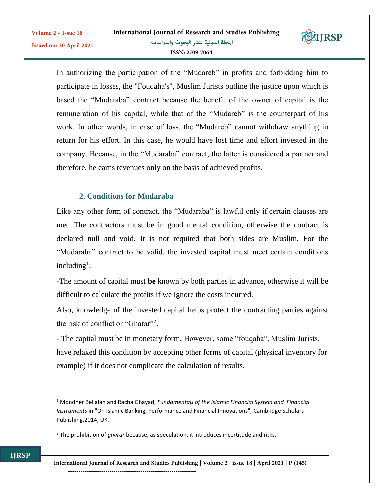

In authorizing the participation of the "Mudareb" in profits and forbidding him to participate in losses, the "Fouqaha's", Muslim Jurists outline the justice upon which is based the "Mudaraba" contract because the benefit of the owner of capital is the remuneration of his capital, while that of the "Mudareb" is the counterpart of his work. In other words, in case of loss, the "Mudareb" cannot withdraw anything in return for his effort. In this case, he would have lost time and effort invested in the company. Because, in the "Mudaraba" contract, the latter is considered a partner and therefore, he earns revenues only on the basis of achieved profits.

# **2. Conditions for Mudaraba**

 $\overline{a}$ 

**ITRSP** 

Like any other form of contract, the "Mudaraba" is lawful only if certain clauses are met. The contractors must be in good mental condition, otherwise the contract is declared null and void. It is not required that both sides are Muslim. For the "Mudaraba" contract to be valid, the invested capital must meet certain conditions including<sup>1</sup>:

-The amount of capital must **be** known by both parties in advance, otherwise it will be difficult to calculate the profits if we ignore the costs incurred.

Also, knowledge of the invested capital helps protect the contracting parties against the risk of conflict or "Gharar"<sup>2</sup> .

- The capital must be in monetary form**.** However, some "fouqaha", Muslim Jurists, have relaxed this condition by accepting other forms of capital (physical inventory for example) if it does not complicate the calculation of results.

<sup>1</sup> Mondher Bellalah and Racha Ghayad, *Fundamentals of the Islamic Financial System and Financial Instruments* in "On Islamic Banking, Performance and Financial Innovations", Cambridge Scholars Publishing,2014, UK.

<sup>2</sup> The prohibition of *gharar* because, as speculation, it introduces incertitude and risks.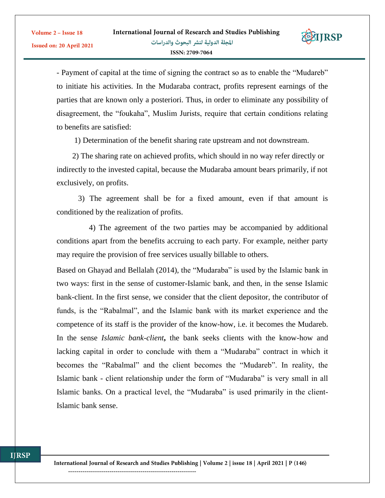

- Payment of capital at the time of signing the contract so as to enable the "Mudareb" to initiate his activities. In the Mudaraba contract, profits represent earnings of the parties that are known only a posteriori. Thus, in order to eliminate any possibility of disagreement, the "foukaha", Muslim Jurists, require that certain conditions relating to benefits are satisfied:

1) Determination of the benefit sharing rate upstream and not downstream.

 2) The sharing rate on achieved profits, which should in no way refer directly or indirectly to the invested capital, because the Mudaraba amount bears primarily, if not exclusively, on profits.

 3) The agreement shall be for a fixed amount, even if that amount is conditioned by the realization of profits.

 4) The agreement of the two parties may be accompanied by additional conditions apart from the benefits accruing to each party. For example, neither party may require the provision of free services usually billable to others.

Based on Ghayad and Bellalah (2014), the "Mudaraba" is used by the Islamic bank in two ways: first in the sense of customer-Islamic bank, and then, in the sense Islamic bank-client. In the first sense, we consider that the client depositor, the contributor of funds, is the "Rabalmal", and the Islamic bank with its market experience and the competence of its staff is the provider of the know-how, i.e. it becomes the Mudareb. In the sense *Islamic bank-client***,** the bank seeks clients with the know-how and lacking capital in order to conclude with them a "Mudaraba" contract in which it becomes the "Rabalmal" and the client becomes the "Mudareb". In reality, the Islamic bank - client relationship under the form of "Mudaraba" is very small in all Islamic banks. On a practical level, the "Mudaraba" is used primarily in the client-Islamic bank sense.

Volume 2 - Issue 18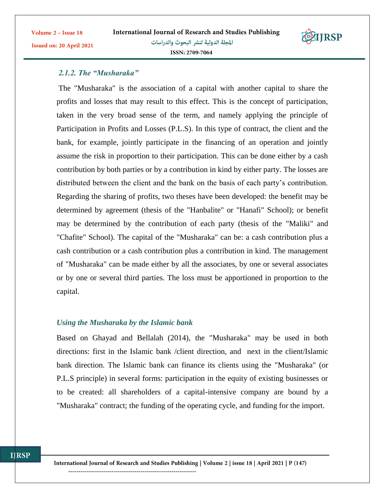

# *2.1.2. The "Musharaka"*

Volume 2 - Issue 18

Issued on: 20 April 2021

The "Musharaka" is the association of a capital with another capital to share the profits and losses that may result to this effect. This is the concept of participation, taken in the very broad sense of the term, and namely applying the principle of Participation in Profits and Losses (P.L.S). In this type of contract, the client and the bank, for example, jointly participate in the financing of an operation and jointly assume the risk in proportion to their participation. This can be done either by a cash contribution by both parties or by a contribution in kind by either party. The losses are distributed between the client and the bank on the basis of each party's contribution. Regarding the sharing of profits, two theses have been developed: the benefit may be determined by agreement (thesis of the "Hanbalite" or "Hanafi" School); or benefit may be determined by the contribution of each party (thesis of the "Maliki" and "Chafite" School). The capital of the "Musharaka" can be: a cash contribution plus a cash contribution or a cash contribution plus a contribution in kind. The management of "Musharaka" can be made either by all the associates, by one or several associates or by one or several third parties. The loss must be apportioned in proportion to the capital.

### *Using the Musharaka by the Islamic bank*

Based on Ghayad and Bellalah (2014), the "Musharaka" may be used in both directions: first in the Islamic bank /client direction, and next in the client/Islamic bank direction. The Islamic bank can finance its clients using the "Musharaka" (or P.L.S principle) in several forms: participation in the equity of existing businesses or to be created: all shareholders of a capital-intensive company are bound by a "Musharaka" contract; the funding of the operating cycle, and funding for the import.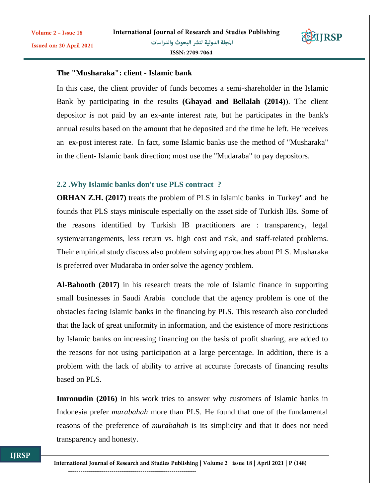

# **The "Musharaka": client - Islamic bank**

Volume 2 - Issue 18

Issued on: 20 April 2021

In this case, the client provider of funds becomes a semi-shareholder in the Islamic Bank by participating in the results **(Ghayad and Bellalah (2014)**). The client depositor is not paid by an ex-ante interest rate, but he participates in the bank's annual results based on the amount that he deposited and the time he left. He receives an ex-post interest rate. In fact, some Islamic banks use the method of "Musharaka" in the client- Islamic bank direction; most use the "Mudaraba" to pay depositors.

#### **2.2 .Why Islamic banks don't use PLS contract ?**

**ORHAN Z.H. (2017)** treats the problem of PLS in Islamic banks in Turkey" and he founds that PLS stays miniscule especially on the asset side of Turkish IBs. Some of the reasons identified by Turkish IB practitioners are : transparency, legal system/arrangements, less return vs. high cost and risk, and staff-related problems. Their empirical study discuss also problem solving approaches about PLS. Musharaka is preferred over Mudaraba in order solve the agency problem.

**Al-Bahooth (2017)** in his research treats the role of Islamic finance in supporting small businesses in Saudi Arabia conclude that the agency problem is one of the obstacles facing Islamic banks in the financing by PLS. This research also concluded that the lack of great uniformity in information, and the existence of more restrictions by Islamic banks on increasing financing on the basis of profit sharing, are added to the reasons for not using participation at a large percentage. In addition, there is a problem with the lack of ability to arrive at accurate forecasts of financing results based on PLS.

**Imronudin** (2016) in his work tries to answer why customers of Islamic banks in Indonesia prefer *murabahah* more than PLS. He found that one of the fundamental reasons of the preference of *murabahah* is its simplicity and that it does not need transparency and honesty.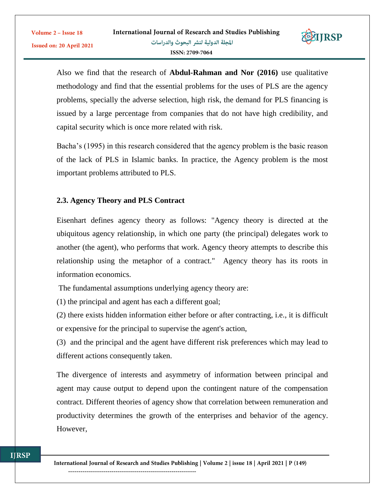

Also we find that the research of **Abdul-Rahman and Nor (2016)** use qualitative methodology and find that the essential problems for the uses of PLS are the agency problems, specially the adverse selection, high risk, the demand for PLS financing is issued by a large percentage from companies that do not have high credibility, and capital security which is once more related with risk.

Bacha's (1995) in this research considered that the agency problem is the basic reason of the lack of PLS in Islamic banks. In practice, the Agency problem is the most important problems attributed to PLS.

# **2.3. Agency Theory and PLS Contract**

Volume 2 - Issue 18

Issued on: 20 April 2021

Eisenhart defines agency theory as follows: "Agency theory is directed at the ubiquitous agency relationship, in which one party (the principal) delegates work to another (the agent), who performs that work. Agency theory attempts to describe this relationship using the metaphor of a contract." Agency theory has its roots in information economics.

The fundamental assumptions underlying agency theory are:

(1) the principal and agent has each a different goal;

(2) there exists hidden information either before or after contracting, i.e., it is difficult or expensive for the principal to supervise the agent's action,

(3) and the principal and the agent have different risk preferences which may lead to different actions consequently taken.

The divergence of interests and asymmetry of information between principal and agent may cause output to depend upon the contingent nature of the compensation contract. Different theories of agency show that correlation between remuneration and productivity determines the growth of the enterprises and behavior of the agency. However,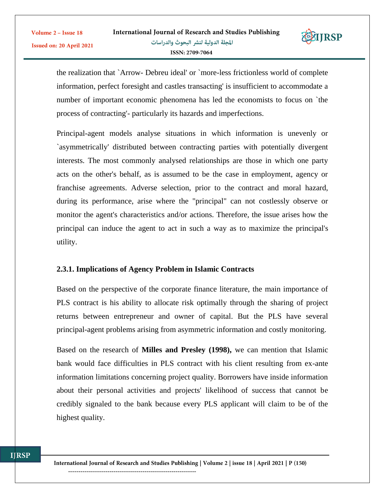

the realization that `Arrow- Debreu ideal' or `more-less frictionless world of complete information, perfect foresight and castles transacting' is insufficient to accommodate a number of important economic phenomena has led the economists to focus on `the process of contracting'- particularly its hazards and imperfections.

Principal-agent models analyse situations in which information is unevenly or `asymmetrically' distributed between contracting parties with potentially divergent interests. The most commonly analysed relationships are those in which one party acts on the other's behalf, as is assumed to be the case in employment, agency or franchise agreements. Adverse selection, prior to the contract and moral hazard, during its performance, arise where the "principal" can not costlessly observe or monitor the agent's characteristics and/or actions. Therefore, the issue arises how the principal can induce the agent to act in such a way as to maximize the principal's utility.

# **2.3.1. Implications of Agency Problem in Islamic Contracts**

Based on the perspective of the corporate finance literature, the main importance of PLS contract is his ability to allocate risk optimally through the sharing of project returns between entrepreneur and owner of capital. But the PLS have several principal-agent problems arising from asymmetric information and costly monitoring.

Based on the research of **Milles and Presley (1998),** we can mention that Islamic bank would face difficulties in PLS contract with his client resulting from ex-ante information limitations concerning project quality. Borrowers have inside information about their personal activities and projects' likelihood of success that cannot be credibly signaled to the bank because every PLS applicant will claim to be of the highest quality.

Volume 2 - Issue 18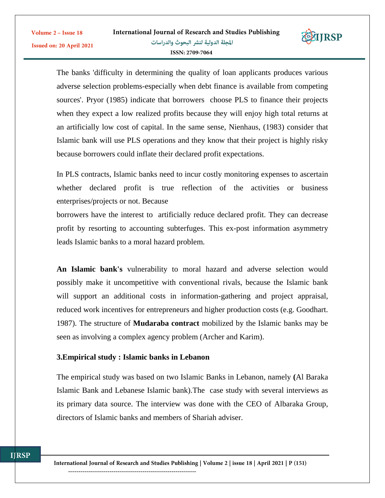

The banks 'difficulty in determining the quality of loan applicants produces various adverse selection problems-especially when debt finance is available from competing sources'. Pryor (1985) indicate that borrowers choose PLS to finance their projects when they expect a low realized profits because they will enjoy high total returns at an artificially low cost of capital. In the same sense, Nienhaus, (1983) consider that Islamic bank will use PLS operations and they know that their project is highly risky because borrowers could inflate their declared profit expectations.

In PLS contracts, Islamic banks need to incur costly monitoring expenses to ascertain whether declared profit is true reflection of the activities or business enterprises/projects or not. Because

borrowers have the interest to artificially reduce declared profit. They can decrease profit by resorting to accounting subterfuges. This ex-post information asymmetry leads Islamic banks to a moral hazard problem.

**An Islamic bank's** vulnerability to moral hazard and adverse selection would possibly make it uncompetitive with conventional rivals, because the Islamic bank will support an additional costs in information-gathering and project appraisal, reduced work incentives for entrepreneurs and higher production costs (e.g. Goodhart. 1987). The structure of **Mudaraba contract** mobilized by the Islamic banks may be seen as involving a complex agency problem (Archer and Karim).

# **3.Empirical study : Islamic banks in Lebanon**

The empirical study was based on two Islamic Banks in Lebanon, namely **(**Al Baraka Islamic Bank and Lebanese Islamic bank).The case study with several interviews as its primary data source. The interview was done with the CEO of Albaraka Group, directors of Islamic banks and members of Shariah adviser.

Volume 2 - Issue 18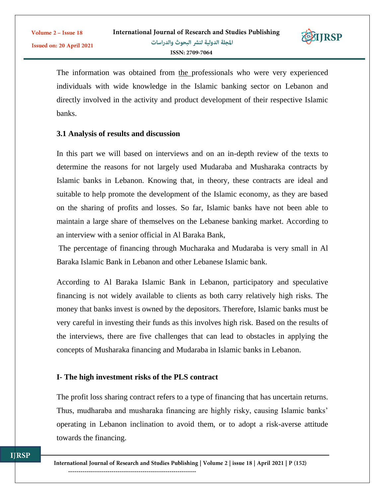

The information was obtained from the professionals who were very experienced individuals with wide knowledge in the Islamic banking sector on Lebanon and directly involved in the activity and product development of their respective Islamic banks.

### **3.1 Analysis of results and discussion**

Volume 2 - Issue 18

Issued on: 20 April 2021

In this part we will based on interviews and on an in-depth review of the texts to determine the reasons for not largely used Mudaraba and Musharaka contracts by Islamic banks in Lebanon. Knowing that, in theory, these contracts are ideal and suitable to help promote the development of the Islamic economy, as they are based on the sharing of profits and losses. So far, Islamic banks have not been able to maintain a large share of themselves on the Lebanese banking market. According to an interview with a senior official in Al Baraka Bank,

The percentage of financing through Mucharaka and Mudaraba is very small in Al Baraka Islamic Bank in Lebanon and other Lebanese Islamic bank.

According to Al Baraka Islamic Bank in Lebanon, participatory and speculative financing is not widely available to clients as both carry relatively high risks. The money that banks invest is owned by the depositors. Therefore, Islamic banks must be very careful in investing their funds as this involves high risk. Based on the results of the interviews, there are five challenges that can lead to obstacles in applying the concepts of Musharaka financing and Mudaraba in Islamic banks in Lebanon.

# **I- The high investment risks of the PLS contract**

The profit loss sharing contract refers to a type of financing that has uncertain returns. Thus, mudharaba and musharaka financing are highly risky, causing Islamic banks' operating in Lebanon inclination to avoid them, or to adopt a risk-averse attitude towards the financing.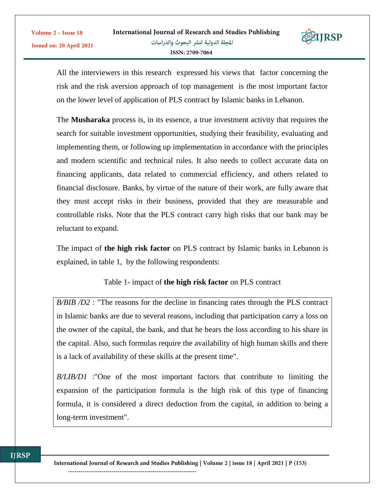

All the interviewers in this research expressed his views that factor concerning the risk and the risk aversion approach of top management is the most important factor on the lower level of application of PLS contract by Islamic banks in Lebanon.

The **Musharaka** process is, in its essence, a true investment activity that requires the search for suitable investment opportunities, studying their feasibility, evaluating and implementing them, or following up implementation in accordance with the principles and modern scientific and technical rules. It also needs to collect accurate data on financing applicants, data related to commercial efficiency, and others related to financial disclosure. Banks, by virtue of the nature of their work, are fully aware that they must accept risks in their business, provided that they are measurable and controllable risks. Note that the PLS contract carry high risks that our bank may be reluctant to expand.

The impact of **the high risk factor** on PLS contract by Islamic banks in Lebanon is explained, in table 1, by the following respondents:

# Table 1- impact of **the high risk factor** on PLS contract

*B/BIB /D2* : "The reasons for the decline in financing rates through the PLS contract in Islamic banks are due to several reasons, including that participation carry a loss on the owner of the capital, the bank, and that he bears the loss according to his share in the capital. Also, such formulas require the availability of high human skills and there is a lack of availability of these skills at the present time".

*B/LIB/D1* :"One of the most important factors that contribute to limiting the expansion of the participation formula is the high risk of this type of financing formula, it is considered a direct deduction from the capital, in addition to being a long-term investment".

Volume 2 - Issue 18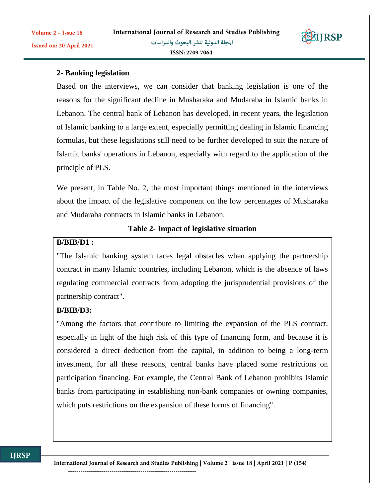

# **2- Banking legislation**

Volume 2 - Issue 18

Issued on: 20 April 2021

Based on the interviews, we can consider that banking legislation is one of the reasons for the significant decline in Musharaka and Mudaraba in Islamic banks in Lebanon. The central bank of Lebanon has developed, in recent years, the legislation of Islamic banking to a large extent, especially permitting dealing in Islamic financing formulas, but these legislations still need to be further developed to suit the nature of Islamic banks' operations in Lebanon, especially with regard to the application of the principle of PLS.

We present, in Table No. 2, the most important things mentioned in the interviews about the impact of the legislative component on the low percentages of Musharaka and Mudaraba contracts in Islamic banks in Lebanon.

### **Table 2- Impact of legislative situation**

### **B/BIB/D1 :**

"The Islamic banking system faces legal obstacles when applying the partnership contract in many Islamic countries, including Lebanon, which is the absence of laws regulating commercial contracts from adopting the jurisprudential provisions of the partnership contract".

# **B/BIB/D3:**

**ITRSP** 

"Among the factors that contribute to limiting the expansion of the PLS contract, especially in light of the high risk of this type of financing form, and because it is considered a direct deduction from the capital, in addition to being a long-term investment, for all these reasons, central banks have placed some restrictions on participation financing. For example, the Central Bank of Lebanon prohibits Islamic banks from participating in establishing non-bank companies or owning companies, which puts restrictions on the expansion of these forms of financing".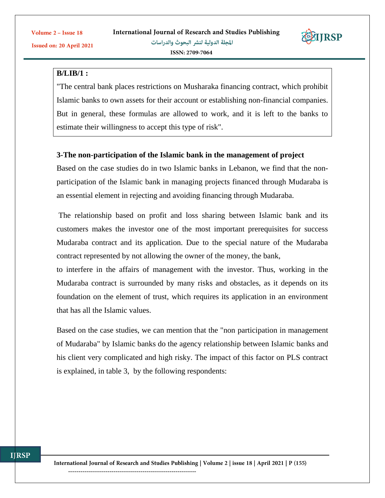**IJRSP** 

Issued on: 20 April 2021



### **B/LIB/1 :**

"The central bank places restrictions on Musharaka financing contract, which prohibit Islamic banks to own assets for their account or establishing non-financial companies. But in general, these formulas are allowed to work, and it is left to the banks to estimate their willingness to accept this type of risk".

### **3-The non-participation of the Islamic bank in the management of project**

Based on the case studies do in two Islamic banks in Lebanon, we find that the nonparticipation of the Islamic bank in managing projects financed through Mudaraba is an essential element in rejecting and avoiding financing through Mudaraba.

The relationship based on profit and loss sharing between Islamic bank and its customers makes the investor one of the most important prerequisites for success Mudaraba contract and its application. Due to the special nature of the Mudaraba contract represented by not allowing the owner of the money, the bank,

to interfere in the affairs of management with the investor. Thus, working in the Mudaraba contract is surrounded by many risks and obstacles, as it depends on its foundation on the element of trust, which requires its application in an environment that has all the Islamic values.

Based on the case studies, we can mention that the "non participation in management of Mudaraba" by Islamic banks do the agency relationship between Islamic banks and his client very complicated and high risky. The impact of this factor on PLS contract is explained, in table 3, by the following respondents: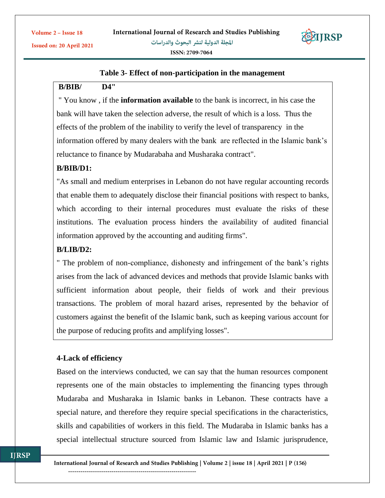

### **Table 3- Effect of non-participation in the management**

# **B/BIB/ D4"**

" You know , if the **information available** to the bank is incorrect, in his case the bank will have taken the selection adverse, the result of which is a loss. Thus the effects of the problem of the inability to verify the level of transparency in the information offered by many dealers with the bank are reflected in the Islamic bank's reluctance to finance by Mudarabaha and Musharaka contract".

# **B/BIB/D1:**

"As small and medium enterprises in Lebanon do not have regular accounting records that enable them to adequately disclose their financial positions with respect to banks, which according to their internal procedures must evaluate the risks of these institutions. The evaluation process hinders the availability of audited financial information approved by the accounting and auditing firms".

### **B/LIB/D2:**

" The problem of non-compliance, dishonesty and infringement of the bank's rights arises from the lack of advanced devices and methods that provide Islamic banks with sufficient information about people, their fields of work and their previous transactions. The problem of moral hazard arises, represented by the behavior of customers against the benefit of the Islamic bank, such as keeping various account for the purpose of reducing profits and amplifying losses".

### **4-Lack of efficiency**

Based on the interviews conducted, we can say that the human resources component represents one of the main obstacles to implementing the financing types through Mudaraba and Musharaka in Islamic banks in Lebanon. These contracts have a special nature, and therefore they require special specifications in the characteristics, skills and capabilities of workers in this field. The Mudaraba in Islamic banks has a special intellectual structure sourced from Islamic law and Islamic jurisprudence,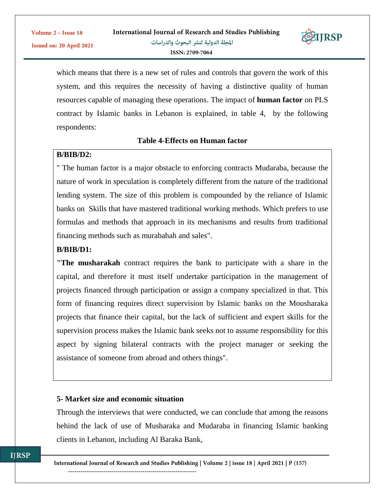

which means that there is a new set of rules and controls that govern the work of this system, and this requires the necessity of having a distinctive quality of human resources capable of managing these operations. The impact of **human factor** on PLS contract by Islamic banks in Lebanon is explained, in table 4, by the following respondents:

### **Table 4-Effects on Human factor**

### **B/BIB/D2:**

" The human factor is a major obstacle to enforcing contracts Mudaraba, because the nature of work in speculation is completely different from the nature of the traditional lending system. The size of this problem is compounded by the reliance of Islamic banks on Skills that have mastered traditional working methods. Which prefers to use formulas and methods that approach in its mechanisms and results from traditional financing methods such as murabahah and sales".

### **B/BIB/D1:**

**"The musharakah** contract requires the bank to participate with a share in the capital, and therefore it must itself undertake participation in the management of projects financed through participation or assign a company specialized in that. This form of financing requires direct supervision by Islamic banks on the Mousharaka projects that finance their capital, but the lack of sufficient and expert skills for the supervision process makes the Islamic bank seeks not to assume responsibility for this aspect by signing bilateral contracts with the project manager or seeking the assistance of someone from abroad and others things".

### **5- Market size and economic situation**

Through the interviews that were conducted, we can conclude that among the reasons behind the lack of use of Musharaka and Mudaraba in financing Islamic banking clients in Lebanon, including Al Baraka Bank,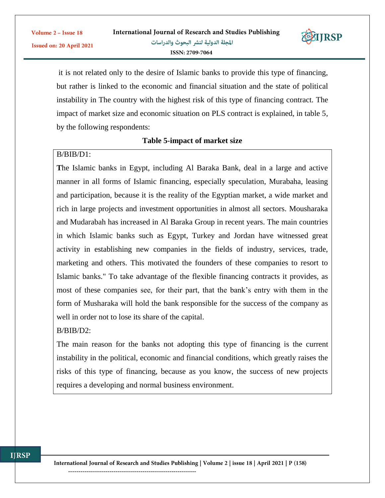

it is not related only to the desire of Islamic banks to provide this type of financing, but rather is linked to the economic and financial situation and the state of political instability in The country with the highest risk of this type of financing contract. The impact of market size and economic situation on PLS contract is explained, in table 5, by the following respondents:

### **Table 5-impact of market size**

### B/BIB/D1:

Volume 2 - Issue 18

Issued on: 20 April 2021

**T**he Islamic banks in Egypt, including Al Baraka Bank, deal in a large and active manner in all forms of Islamic financing, especially speculation, Murabaha, leasing and participation, because it is the reality of the Egyptian market, a wide market and rich in large projects and investment opportunities in almost all sectors. Mousharaka and Mudarabah has increased in Al Baraka Group in recent years. The main countries in which Islamic banks such as Egypt, Turkey and Jordan have witnessed great activity in establishing new companies in the fields of industry, services, trade, marketing and others. This motivated the founders of these companies to resort to Islamic banks." To take advantage of the flexible financing contracts it provides, as most of these companies see, for their part, that the bank's entry with them in the form of Musharaka will hold the bank responsible for the success of the company as well in order not to lose its share of the capital.

B/BIB/D2:

The main reason for the banks not adopting this type of financing is the current instability in the political, economic and financial conditions, which greatly raises the risks of this type of financing, because as you know, the success of new projects requires a developing and normal business environment.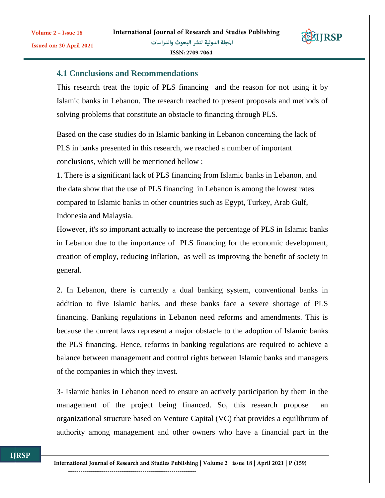

# **4.1 Conclusions and Recommendations**

Volume 2 - Issue 18

Issued on: 20 April 2021

This research treat the topic of PLS financing and the reason for not using it by Islamic banks in Lebanon. The research reached to present proposals and methods of solving problems that constitute an obstacle to financing through PLS.

Based on the case studies do in Islamic banking in Lebanon concerning the lack of PLS in banks presented in this research, we reached a number of important conclusions, which will be mentioned bellow :

1. There is a significant lack of PLS financing from Islamic banks in Lebanon, and the data show that the use of PLS financing in Lebanon is among the lowest rates compared to Islamic banks in other countries such as Egypt, Turkey, Arab Gulf, Indonesia and Malaysia.

However, it's so important actually to increase the percentage of PLS in Islamic banks in Lebanon due to the importance of PLS financing for the economic development, creation of employ, reducing inflation, as well as improving the benefit of society in general.

2. In Lebanon, there is currently a dual banking system, conventional banks in addition to five Islamic banks, and these banks face a severe shortage of PLS financing. Banking regulations in Lebanon need reforms and amendments. This is because the current laws represent a major obstacle to the adoption of Islamic banks the PLS financing. Hence, reforms in banking regulations are required to achieve a balance between management and control rights between Islamic banks and managers of the companies in which they invest.

3- Islamic banks in Lebanon need to ensure an actively participation by them in the management of the project being financed. So, this research propose an organizational structure based on Venture Capital (VC) that provides a equilibrium of authority among management and other owners who have a financial part in the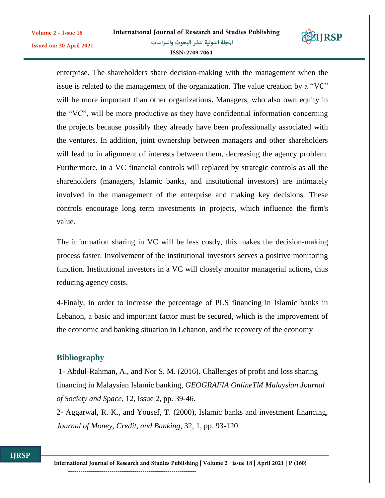

enterprise. The shareholders share decision-making with the management when the issue is related to the management of the organization. The value creation by a "VC" will be more important than other organizations**.** Managers, who also own equity in the "VC", will be more productive as they have confidential information concerning the projects because possibly they already have been professionally associated with the ventures. In addition, joint ownership between managers and other shareholders will lead to in alignment of interests between them, decreasing the agency problem. Furthermore, in a VC financial controls will replaced by strategic controls as all the shareholders (managers, Islamic banks, and institutional investors) are intimately involved in the management of the enterprise and making key decisions. These controls encourage long term investments in projects, which influence the firm's value.

The information sharing in VC will be less costly, this makes the decision-making process faster. Involvement of the institutional investors serves a positive monitoring function. Institutional investors in a VC will closely monitor managerial actions, thus reducing agency costs.

4-Finaly, in order to increase the percentage of PLS financing in Islamic banks in Lebanon, a basic and important factor must be secured, which is the improvement of the economic and banking situation in Lebanon, and the recovery of the economy

# **Bibliography**

Volume 2 - Issue 18

Issued on: 20 April 2021

1- Abdul-Rahman, A., and Nor S. M. (2016). Challenges of profit and loss sharing financing in Malaysian Islamic banking, *GEOGRAFIA OnlineTM Malaysian Journal of Society and Space*, 12, Issue 2, pp. 39-46.

2- Aggarwal, R. K., and Yousef, T. (2000), Islamic banks and investment financing, *Journal of Money, Credit, and Banking*, 32, 1, pp. 93-120.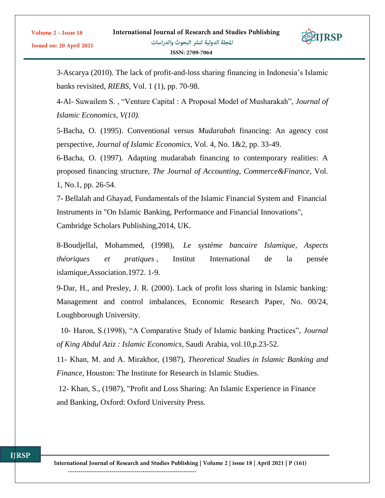

3-Ascarya (2010). The lack of profit-and-loss sharing financing in Indonesia's Islamic banks revisited, *RIEBS*, Vol. 1 (1), pp. 70-98.

4-Al- Suwailem S. , "Venture Capital : A Proposal Model of Musharakah", *Journal of Islamic Economics, V(10).*

5-Bacha, O. (1995). Conventional versus *Mudarabah* financing: An agency cost perspective, *Journal of Islamic Economics*, Vol. 4, No. 1&2, pp. 33-49.

6-Bacha, O. (1997). Adapting mudarabah financing to contemporary realities: A proposed financing structure, *The Journal of Accounting, Commerce&Finance*, Vol. 1, No.1, pp. 26-54.

7- Bellalah and Ghayad, Fundamentals of the Islamic Financial System and Financial Instruments in "On Islamic Banking, Performance and Financial Innovations", Cambridge Scholars Publishing,2014, UK.

8-Boudjellal, Mohammed, (1998), *Le système bancaire Islamique, Aspects théoriques et pratiques* , Institut International de la pensée islamique,Association.1972. 1-9.

9-Dar, H., and Presley, J. R. (2000). Lack of profit loss sharing in Islamic banking: Management and control imbalances, Economic Research Paper, No. 00/24, Loughborough University.

 10- Haron, S.(1998), "A Comparative Study of Islamic banking Practices", *Journal of King Abdul Aziz : Islamic Economics*, Saudi Arabia, vol.10,p.23-52.

11- Khan, M. and A. Mirakhor, (1987), *Theoretical Studies in Islamic Banking and Finance*, Houston: The Institute for Research in Islamic Studies.

12- Khan, S., (1987), "Profit and Loss Sharing: An Islamic Experience in Finance and Banking, Oxford: Oxford University Press.

Volume 2 - Issue 18